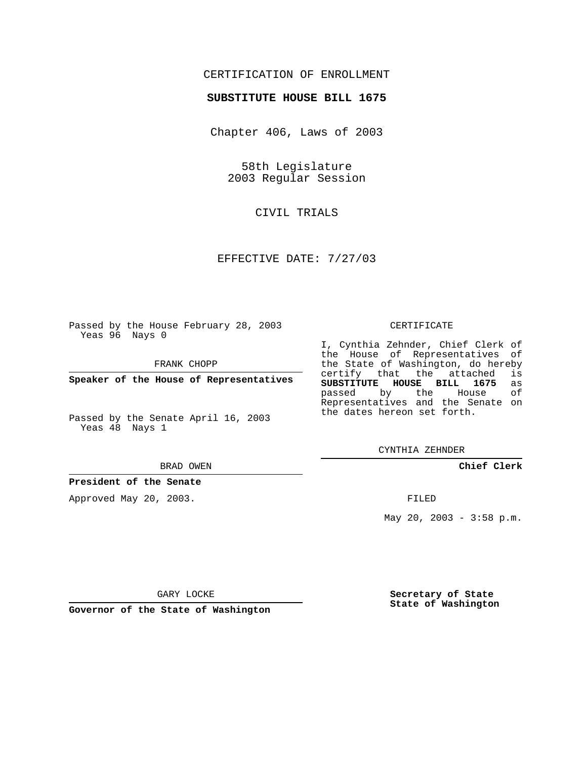## CERTIFICATION OF ENROLLMENT

## **SUBSTITUTE HOUSE BILL 1675**

Chapter 406, Laws of 2003

58th Legislature 2003 Regular Session

CIVIL TRIALS

EFFECTIVE DATE: 7/27/03

Passed by the House February 28, 2003 Yeas 96 Nays 0

FRANK CHOPP

**Speaker of the House of Representatives**

Passed by the Senate April 16, 2003 Yeas 48 Nays 1

#### BRAD OWEN

**President of the Senate**

Approved May 20, 2003.

### CERTIFICATE

I, Cynthia Zehnder, Chief Clerk of the House of Representatives of the State of Washington, do hereby<br>certify that the attached is certify that the attached **SUBSTITUTE HOUSE BILL 1675** as passed by the House Representatives and the Senate on the dates hereon set forth.

CYNTHIA ZEHNDER

**Chief Clerk**

FILED

May 20, 2003 - 3:58 p.m.

GARY LOCKE

**Governor of the State of Washington**

**Secretary of State State of Washington**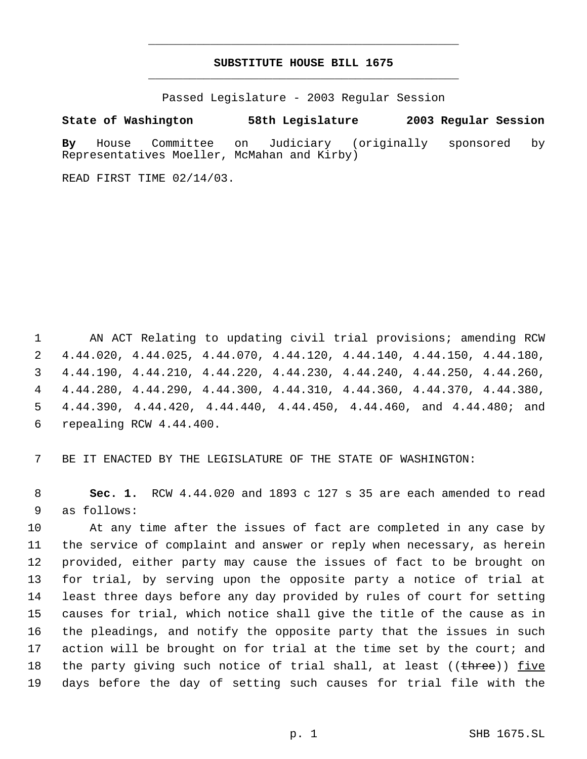# **SUBSTITUTE HOUSE BILL 1675** \_\_\_\_\_\_\_\_\_\_\_\_\_\_\_\_\_\_\_\_\_\_\_\_\_\_\_\_\_\_\_\_\_\_\_\_\_\_\_\_\_\_\_\_\_

\_\_\_\_\_\_\_\_\_\_\_\_\_\_\_\_\_\_\_\_\_\_\_\_\_\_\_\_\_\_\_\_\_\_\_\_\_\_\_\_\_\_\_\_\_

Passed Legislature - 2003 Regular Session

**State of Washington 58th Legislature 2003 Regular Session**

**By** House Committee on Judiciary (originally sponsored by Representatives Moeller, McMahan and Kirby)

READ FIRST TIME 02/14/03.

 AN ACT Relating to updating civil trial provisions; amending RCW 4.44.020, 4.44.025, 4.44.070, 4.44.120, 4.44.140, 4.44.150, 4.44.180, 4.44.190, 4.44.210, 4.44.220, 4.44.230, 4.44.240, 4.44.250, 4.44.260, 4.44.280, 4.44.290, 4.44.300, 4.44.310, 4.44.360, 4.44.370, 4.44.380, 4.44.390, 4.44.420, 4.44.440, 4.44.450, 4.44.460, and 4.44.480; and repealing RCW 4.44.400.

BE IT ENACTED BY THE LEGISLATURE OF THE STATE OF WASHINGTON:

 **Sec. 1.** RCW 4.44.020 and 1893 c 127 s 35 are each amended to read as follows:

 At any time after the issues of fact are completed in any case by the service of complaint and answer or reply when necessary, as herein provided, either party may cause the issues of fact to be brought on for trial, by serving upon the opposite party a notice of trial at least three days before any day provided by rules of court for setting causes for trial, which notice shall give the title of the cause as in the pleadings, and notify the opposite party that the issues in such 17 action will be brought on for trial at the time set by the court; and 18 the party giving such notice of trial shall, at least ((<del>three</del>)) five days before the day of setting such causes for trial file with the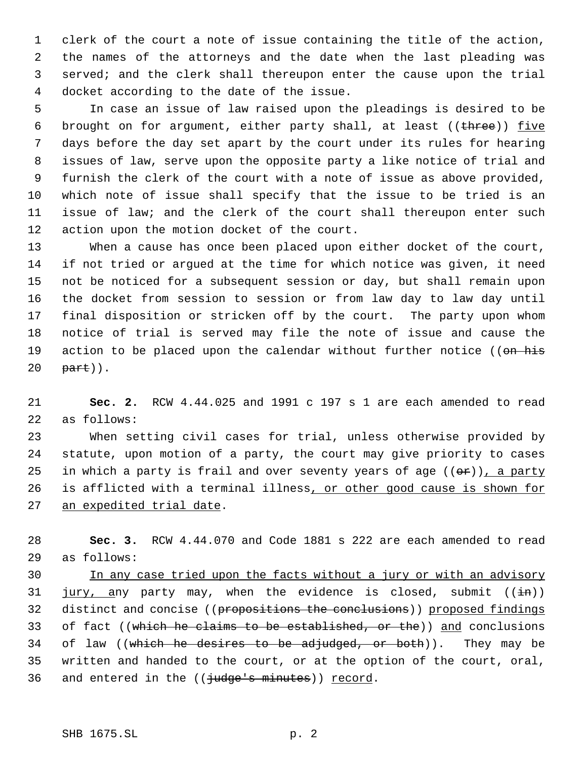clerk of the court a note of issue containing the title of the action, the names of the attorneys and the date when the last pleading was served; and the clerk shall thereupon enter the cause upon the trial docket according to the date of the issue.

 In case an issue of law raised upon the pleadings is desired to be 6 brought on for argument, either party shall, at least (( $t$ hree)) five days before the day set apart by the court under its rules for hearing issues of law, serve upon the opposite party a like notice of trial and furnish the clerk of the court with a note of issue as above provided, which note of issue shall specify that the issue to be tried is an issue of law; and the clerk of the court shall thereupon enter such action upon the motion docket of the court.

 When a cause has once been placed upon either docket of the court, if not tried or argued at the time for which notice was given, it need not be noticed for a subsequent session or day, but shall remain upon the docket from session to session or from law day to law day until final disposition or stricken off by the court. The party upon whom notice of trial is served may file the note of issue and cause the 19 action to be placed upon the calendar without further notice ((on his part)).

 **Sec. 2.** RCW 4.44.025 and 1991 c 197 s 1 are each amended to read as follows:

 When setting civil cases for trial, unless otherwise provided by statute, upon motion of a party, the court may give priority to cases 25 in which a party is frail and over seventy years of age  $((\theta \cdot \hat{r}))$ , a party 26 is afflicted with a terminal illness, or other good cause is shown for an expedited trial date.

 **Sec. 3.** RCW 4.44.070 and Code 1881 s 222 are each amended to read as follows:

 In any case tried upon the facts without a jury or with an advisory 31  $jury, any party may, when the evidence is closed, submit ((in))$ 32 distinct and concise ((propositions the conclusions)) proposed findings 33 of fact ((which he claims to be established, or the)) and conclusions 34 of law ((which he desires to be adjudged, or both)). They may be written and handed to the court, or at the option of the court, oral, 36 and entered in the  $((\frac{1}{1}u\text{dge's minutes}))$  record.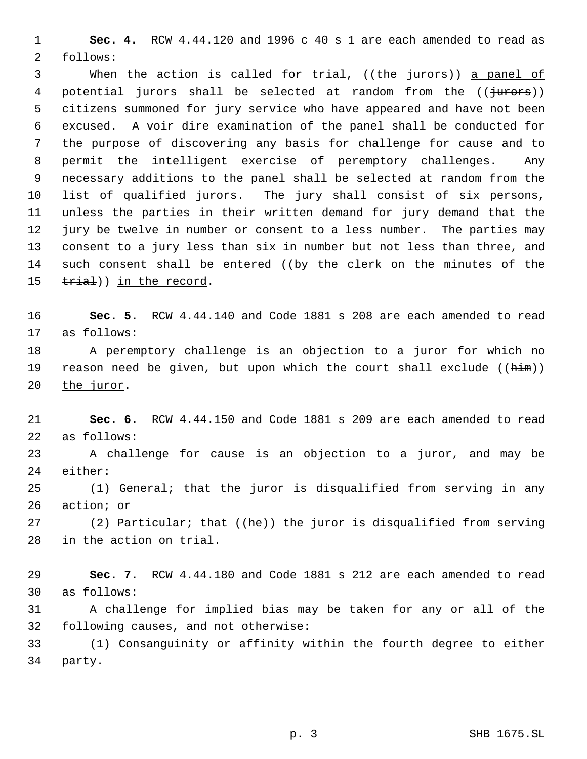**Sec. 4.** RCW 4.44.120 and 1996 c 40 s 1 are each amended to read as follows:

3 When the action is called for trial, ((the jurors)) a panel of 4 potential jurors shall be selected at random from the ((jurors)) 5 citizens summoned for jury service who have appeared and have not been excused. A voir dire examination of the panel shall be conducted for the purpose of discovering any basis for challenge for cause and to permit the intelligent exercise of peremptory challenges. Any necessary additions to the panel shall be selected at random from the list of qualified jurors. The jury shall consist of six persons, unless the parties in their written demand for jury demand that the jury be twelve in number or consent to a less number. The parties may consent to a jury less than six in number but not less than three, and 14 such consent shall be entered ((by the clerk on the minutes of the 15 trial)) in the record.

 **Sec. 5.** RCW 4.44.140 and Code 1881 s 208 are each amended to read as follows:

 A peremptory challenge is an objection to a juror for which no 19 reason need be given, but upon which the court shall exclude  $((\hbox{him}))$ the juror.

 **Sec. 6.** RCW 4.44.150 and Code 1881 s 209 are each amended to read as follows:

 A challenge for cause is an objection to a juror, and may be either:

 (1) General; that the juror is disqualified from serving in any action; or

27 (2) Particular; that ((he)) the juror is disqualified from serving in the action on trial.

 **Sec. 7.** RCW 4.44.180 and Code 1881 s 212 are each amended to read as follows:

 A challenge for implied bias may be taken for any or all of the following causes, and not otherwise:

 (1) Consanguinity or affinity within the fourth degree to either party.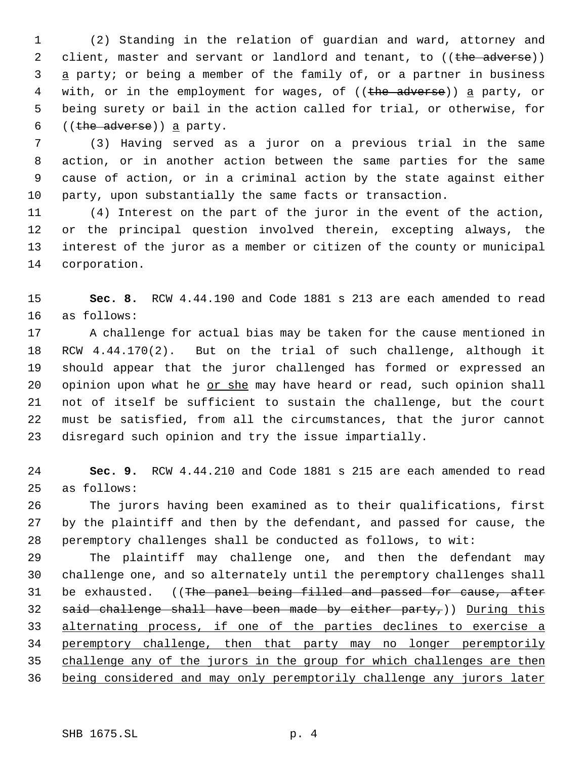(2) Standing in the relation of guardian and ward, attorney and 2 client, master and servant or landlord and tenant, to ((the adverse)) 3 a party; or being a member of the family of, or a partner in business 4 with, or in the employment for wages, of ((the adverse)) a party, or being surety or bail in the action called for trial, or otherwise, for 6 ((the adverse)) a party.

 (3) Having served as a juror on a previous trial in the same action, or in another action between the same parties for the same cause of action, or in a criminal action by the state against either party, upon substantially the same facts or transaction.

 (4) Interest on the part of the juror in the event of the action, or the principal question involved therein, excepting always, the interest of the juror as a member or citizen of the county or municipal corporation.

 **Sec. 8.** RCW 4.44.190 and Code 1881 s 213 are each amended to read as follows:

 A challenge for actual bias may be taken for the cause mentioned in RCW 4.44.170(2). But on the trial of such challenge, although it should appear that the juror challenged has formed or expressed an 20 opinion upon what he or she may have heard or read, such opinion shall not of itself be sufficient to sustain the challenge, but the court must be satisfied, from all the circumstances, that the juror cannot disregard such opinion and try the issue impartially.

 **Sec. 9.** RCW 4.44.210 and Code 1881 s 215 are each amended to read as follows:

 The jurors having been examined as to their qualifications, first by the plaintiff and then by the defendant, and passed for cause, the peremptory challenges shall be conducted as follows, to wit:

 The plaintiff may challenge one, and then the defendant may challenge one, and so alternately until the peremptory challenges shall 31 be exhausted. ((The panel being filled and passed for cause, after 32 said challenge shall have been made by either party,)) During this alternating process, if one of the parties declines to exercise a peremptory challenge, then that party may no longer peremptorily 35 challenge any of the jurors in the group for which challenges are then being considered and may only peremptorily challenge any jurors later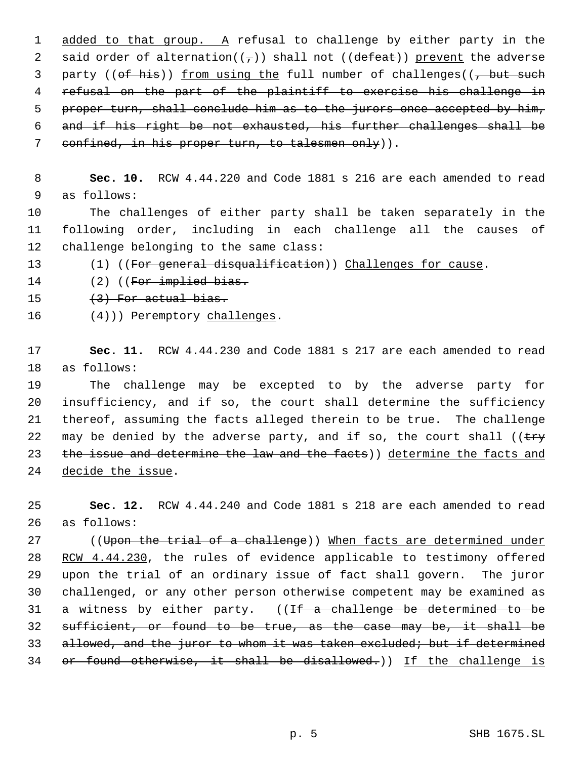1 added to that group. A refusal to challenge by either party in the 2 said order of alternation( $(\tau)$ ) shall not ((defeat)) prevent the adverse 3 party (( $ef$  his)) <u>from using the</u> full number of challenges( $\frac{7}{7}$  but such 4 refusal on the part of the plaintiff to exercise his challenge in 5 proper turn, shall conclude him as to the jurors once accepted by him, 6 and if his right be not exhausted, his further challenges shall be 7 confined, in his proper turn, to talesmen only)).

 8 **Sec. 10.** RCW 4.44.220 and Code 1881 s 216 are each amended to read 9 as follows:

10 The challenges of either party shall be taken separately in the 11 following order, including in each challenge all the causes of 12 challenge belonging to the same class:

13 (1) ((For general disqualification)) Challenges for cause.

14 (2) ((For implied bias.

- 15  $(3)$  For actual bias.
- 16  $(4)$ ) Peremptory challenges.

17 **Sec. 11.** RCW 4.44.230 and Code 1881 s 217 are each amended to read 18 as follows:

 The challenge may be excepted to by the adverse party for insufficiency, and if so, the court shall determine the sufficiency thereof, assuming the facts alleged therein to be true. The challenge 22 may be denied by the adverse party, and if so, the court shall (( $\text{try}$ ) 23 the issue and determine the law and the facts)) determine the facts and decide the issue.

25 **Sec. 12.** RCW 4.44.240 and Code 1881 s 218 are each amended to read 26 as follows:

27 ((Upon the trial of a challenge)) When facts are determined under 28 RCW 4.44.230, the rules of evidence applicable to testimony offered 29 upon the trial of an ordinary issue of fact shall govern. The juror 30 challenged, or any other person otherwise competent may be examined as 31 a witness by either party.  $(1)$  ( $1$  a challenge be determined to be 32 sufficient, or found to be true, as the case may be, it shall be 33 allowed, and the juror to whom it was taken excluded; but if determined 34 or found otherwise, it shall be disallowed.)) If the challenge is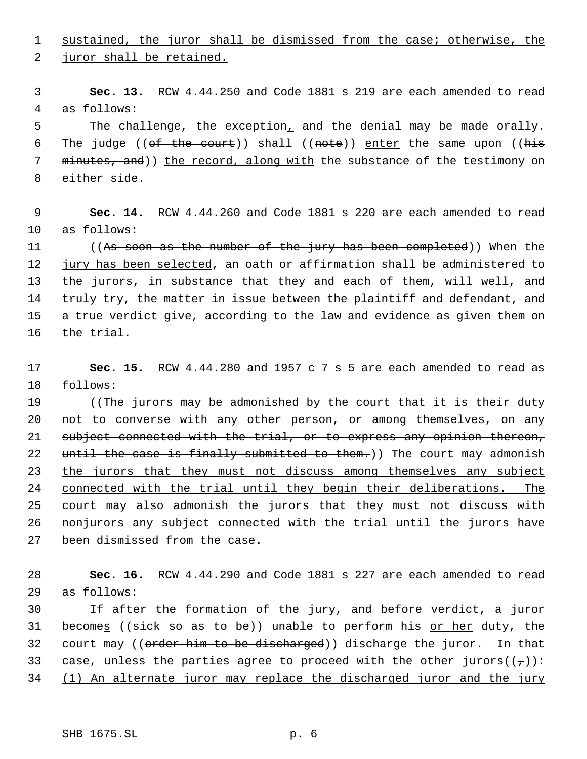1 sustained, the juror shall be dismissed from the case; otherwise, the

juror shall be retained.

 **Sec. 13.** RCW 4.44.250 and Code 1881 s 219 are each amended to read as follows:

 The challenge, the exception, and the denial may be made orally. 6 The judge (( $of$  the court)) shall ((note)) enter the same upon (( $h$ is 7 minutes, and)) the record, along with the substance of the testimony on either side.

 **Sec. 14.** RCW 4.44.260 and Code 1881 s 220 are each amended to read as follows:

 ((As soon as the number of the jury has been completed)) When the jury has been selected, an oath or affirmation shall be administered to the jurors, in substance that they and each of them, will well, and truly try, the matter in issue between the plaintiff and defendant, and a true verdict give, according to the law and evidence as given them on the trial.

 **Sec. 15.** RCW 4.44.280 and 1957 c 7 s 5 are each amended to read as follows:

19 ((The jurors may be admonished by the court that it is their duty 20 not to converse with any other person, or among themselves, on any subject connected with the trial, or to express any opinion thereon, 22 until the case is finally submitted to them.)) The court may admonish 23 the jurors that they must not discuss among themselves any subject connected with the trial until they begin their deliberations. The 25 court may also admonish the jurors that they must not discuss with nonjurors any subject connected with the trial until the jurors have 27 been dismissed from the case.

 **Sec. 16.** RCW 4.44.290 and Code 1881 s 227 are each amended to read as follows:

 If after the formation of the jury, and before verdict, a juror 31 become<u>s</u> ((sick so as to be)) unable to perform his <u>or her</u> duty, the 32 court may ((order him to be discharged)) discharge the juror. In that 33 case, unless the parties agree to proceed with the other jurors $((\tau))$ : (1) An alternate juror may replace the discharged juror and the jury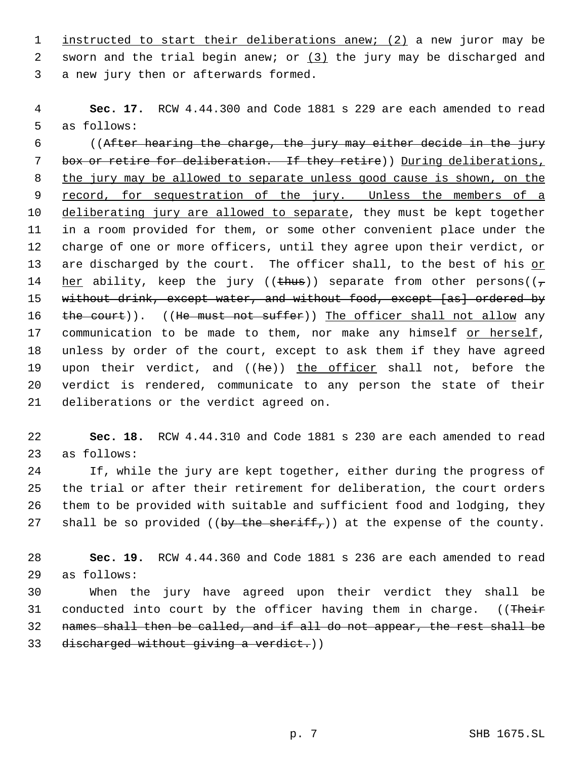instructed to start their deliberations anew; (2) a new juror may be 2 sworn and the trial begin anew; or  $(3)$  the jury may be discharged and a new jury then or afterwards formed.

 **Sec. 17.** RCW 4.44.300 and Code 1881 s 229 are each amended to read as follows:

 ((After hearing the charge, the jury may either decide in the jury 7 box or retire for deliberation. If they retire) During deliberations, the jury may be allowed to separate unless good cause is shown, on the 9 record, for sequestration of the jury. Unless the members of a 10 deliberating jury are allowed to separate, they must be kept together in a room provided for them, or some other convenient place under the charge of one or more officers, until they agree upon their verdict, or are discharged by the court. The officer shall, to the best of his or 14 her ability, keep the jury ((thus)) separate from other persons( $(\tau$ 15 without drink, except water, and without food, except [as] ordered by 16 the court)). ((He must not suffer)) The officer shall not allow any 17 communication to be made to them, nor make any himself or herself, unless by order of the court, except to ask them if they have agreed 19 upon their verdict, and ((he)) the officer shall not, before the verdict is rendered, communicate to any person the state of their deliberations or the verdict agreed on.

 **Sec. 18.** RCW 4.44.310 and Code 1881 s 230 are each amended to read as follows:

 If, while the jury are kept together, either during the progress of the trial or after their retirement for deliberation, the court orders them to be provided with suitable and sufficient food and lodging, they 27 shall be so provided ((by the sheriff,)) at the expense of the county.

 **Sec. 19.** RCW 4.44.360 and Code 1881 s 236 are each amended to read as follows:

 When the jury have agreed upon their verdict they shall be 31 conducted into court by the officer having them in charge. ((Their names shall then be called, and if all do not appear, the rest shall be 33 discharged without giving a verdict.))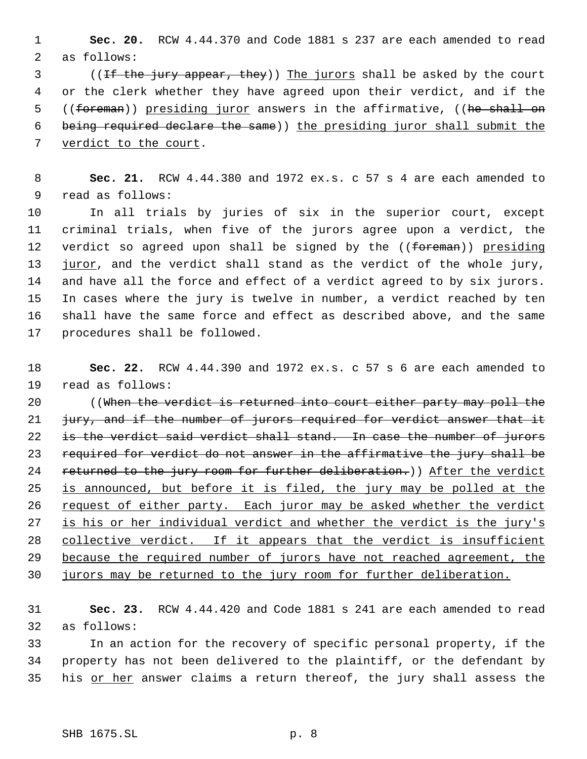**Sec. 20.** RCW 4.44.370 and Code 1881 s 237 are each amended to read as follows:

3 ((If the jury appear, they)) The jurors shall be asked by the court or the clerk whether they have agreed upon their verdict, and if the 5 ((foreman)) presiding juror answers in the affirmative, ((he shall on being required declare the same)) the presiding juror shall submit the 7 verdict to the court.

 **Sec. 21.** RCW 4.44.380 and 1972 ex.s. c 57 s 4 are each amended to read as follows:

 In all trials by juries of six in the superior court, except criminal trials, when five of the jurors agree upon a verdict, the 12 verdict so agreed upon shall be signed by the ((foreman)) presiding juror, and the verdict shall stand as the verdict of the whole jury, and have all the force and effect of a verdict agreed to by six jurors. In cases where the jury is twelve in number, a verdict reached by ten shall have the same force and effect as described above, and the same procedures shall be followed.

 **Sec. 22.** RCW 4.44.390 and 1972 ex.s. c 57 s 6 are each amended to read as follows:

20 (When the verdict is returned into court either party may poll the 21 jury, and if the number of jurors required for verdict answer that it 22 is the verdict said verdict shall stand. In case the number of jurors required for verdict do not answer in the affirmative the jury shall be 24 returned to the jury room for further deliberation.)) After the verdict is announced, but before it is filed, the jury may be polled at the 26 request of either party. Each juror may be asked whether the verdict is his or her individual verdict and whether the verdict is the jury's 28 collective verdict. If it appears that the verdict is insufficient 29 because the required number of jurors have not reached agreement, the jurors may be returned to the jury room for further deliberation.

 **Sec. 23.** RCW 4.44.420 and Code 1881 s 241 are each amended to read as follows:

 In an action for the recovery of specific personal property, if the property has not been delivered to the plaintiff, or the defendant by 35 his or her answer claims a return thereof, the jury shall assess the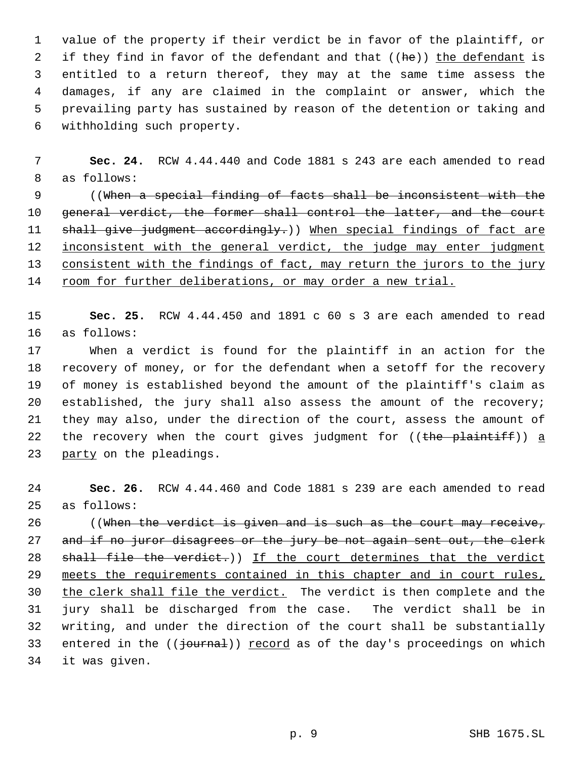value of the property if their verdict be in favor of the plaintiff, or 2 if they find in favor of the defendant and that ((he)) the defendant is entitled to a return thereof, they may at the same time assess the damages, if any are claimed in the complaint or answer, which the prevailing party has sustained by reason of the detention or taking and withholding such property.

 **Sec. 24.** RCW 4.44.440 and Code 1881 s 243 are each amended to read as follows:

 ((When a special finding of facts shall be inconsistent with the 10 general verdict, the former shall control the latter, and the court 11 shall give judgment accordingly.)) When special findings of fact are 12 inconsistent with the general verdict, the judge may enter judgment consistent with the findings of fact, may return the jurors to the jury 14 room for further deliberations, or may order a new trial.

 **Sec. 25.** RCW 4.44.450 and 1891 c 60 s 3 are each amended to read as follows:

 When a verdict is found for the plaintiff in an action for the recovery of money, or for the defendant when a setoff for the recovery of money is established beyond the amount of the plaintiff's claim as established, the jury shall also assess the amount of the recovery; they may also, under the direction of the court, assess the amount of 22 the recovery when the court gives judgment for  $((the$  plaintiff)) a party on the pleadings.

 **Sec. 26.** RCW 4.44.460 and Code 1881 s 239 are each amended to read as follows:

 ((When the verdict is given and is such as the court may receive, 27 and if no juror disagrees or the jury be not again sent out, the clerk 28 shall file the verdict.)) If the court determines that the verdict meets the requirements contained in this chapter and in court rules, 30 the clerk shall file the verdict. The verdict is then complete and the jury shall be discharged from the case. The verdict shall be in writing, and under the direction of the court shall be substantially 33 entered in the  $((\frac{1}{2}$  encord as of the day's proceedings on which it was given.